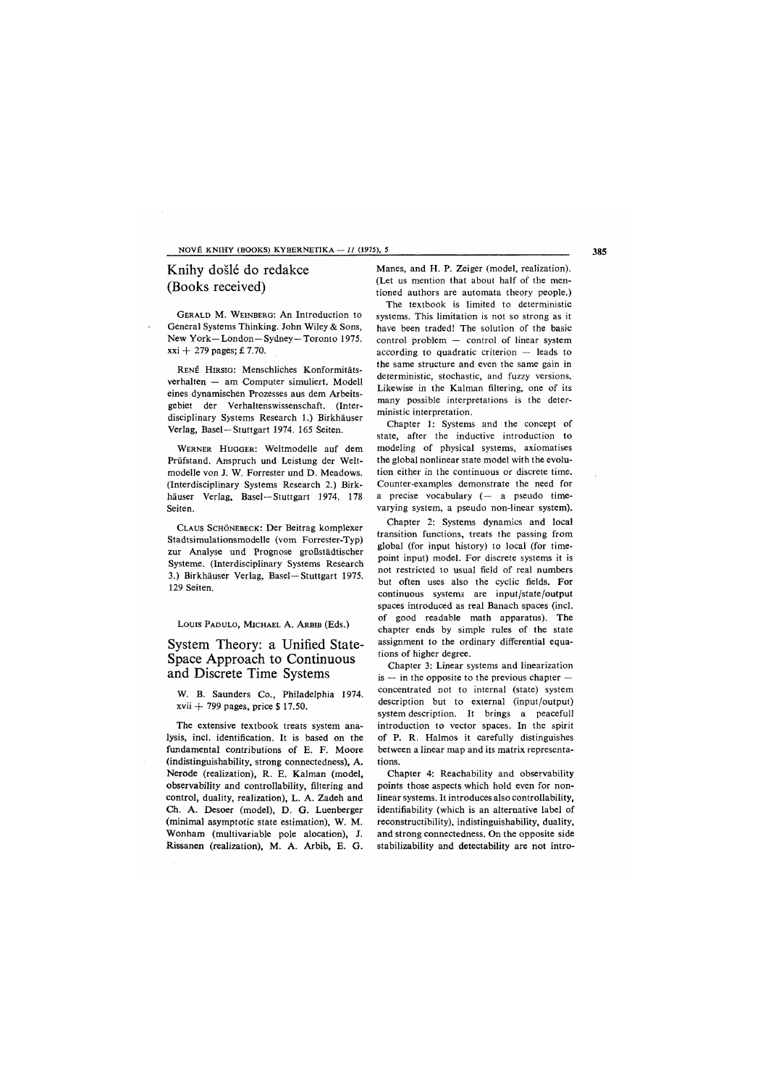#### NOVÉ KNIHY (BOOKS) KYBERNETIKA — *11* (1975), 5

# Knihy došlé do redakce (Books received)

GERALD M. WEINBERG: An Introduction to General Systems Thinking. John Wiley & Sons, New York—London—Sydney—Toronto 1975. xxi + 279 pages; £ 7.70.

RENE HIRSIG: Menschliches Konformitätsverhalten — am Computer simuliert. Modell eines dynamischen Prozesses aus dem Arbeitsgebiet der Verhaltenswissenschaft. (Interdisciplinary Systems Research 1.) Birkhäuser Verlag, Basel—Stuttgart 1974. 165 Seiten.

WERNER HUGGER: Weltmodelle auf dem Prüfstand. Anspruch und Leistung der Weltmodelle von J. W. Forrester und D. Meadows. (Interdisciplinary Systems Research 2.) Birkhäuser Verlag, Basel—Stuttgart 1974. 178 Seiten.

CLAUS SCHÖNEBECK: Der Beitrag komplexer Stadtsimulationsmodelle (vom Forrester-Typ) zur Analyse und Prognose großstädtischer Systeme. (Interdisciplinary Systems Research 3.) Birkhäuser Verlag, Basel—Stuttgart 1975. 129 Seiten.

Louis PADULO, MICHAEL A. ARBIB (Eds.)

## System Theory: a Unified State-Space Approach to Continuous and Discrete Time Systems

W. B. Saunders Co., Philadelphia 1974.  $xvii + 799$  pages, price \$17.50.

The extensive textbook treats system analysis, incl. identification. It is based on the fundamental contributions of E. F. Moore (indistinguishability, strong connectedness), A. Nerode (realization), R. E. Kalman (model, observability and controllability, filtering and control, duality, realization), L. A. Zadeh and Ch. A. Desoer (model), D. G. Luenberger (minimal asymptotic state estimation), W. M. Wonham (multivariable pole alocation), J. Rissanen (realization), M. A. Arbib, E. G.

Manes, and H. P. Zeiger (model, realization). (Let us mention that about half of the mentioned authors are automata theory people.)

The textbook is limited to deterministic systems. This limitation is not so strong as it have been traded! The solution of the basic control problem — control of linear system according to quadratic criterion — leads to the same structure and even the same gain in deterministic, stochastic, and fuzzy versions. Likewise in the Kalman filtering, one of its many possible interpretations is the deterministic interpretation.

Chapter 1: Systems and the concept of state, after the inductive introduction to modeling of physical systems, axiomatises the global nonlinear state model with the evolution either in the continuous or discrete time. Counter-examples demonstrate the need for a precise vocabulary (— a pseudo timevarying system, a pseudo non-linear system).

Chapter 2: Systems dynamics and local transition functions, treats the passing from global (for input history) to local (for timepoint input) model. For discrete systems it is not restricted to usual field of real numbers but often uses also the cyclic fields. For continuous systems are input/state/output spaces introduced as real Banach spaces (incl. of good readable math apparatus). The chapter ends by simple rules of the state assignment to the ordinary differential equations of higher degree.

Chapter 3: Linear systems and linearization  $is$  — in the opposite to the previous chapter concentrated not to internal (state) system description but to external (input/output) system description. It brings a peacefull introduction to vector spaces. In the spirit of P. R. Halmos it carefully distinguishes between a linear map and its matrix representations.

Chapter 4: Reachability and observability points those aspects which hold even for nonlinear systems. It introduces also controllability, identifiability (which is an alternative label of reconstructibility), indistinguishability, duality, and strong connectedness. On the opposite side stabilizability and detectability are not intro-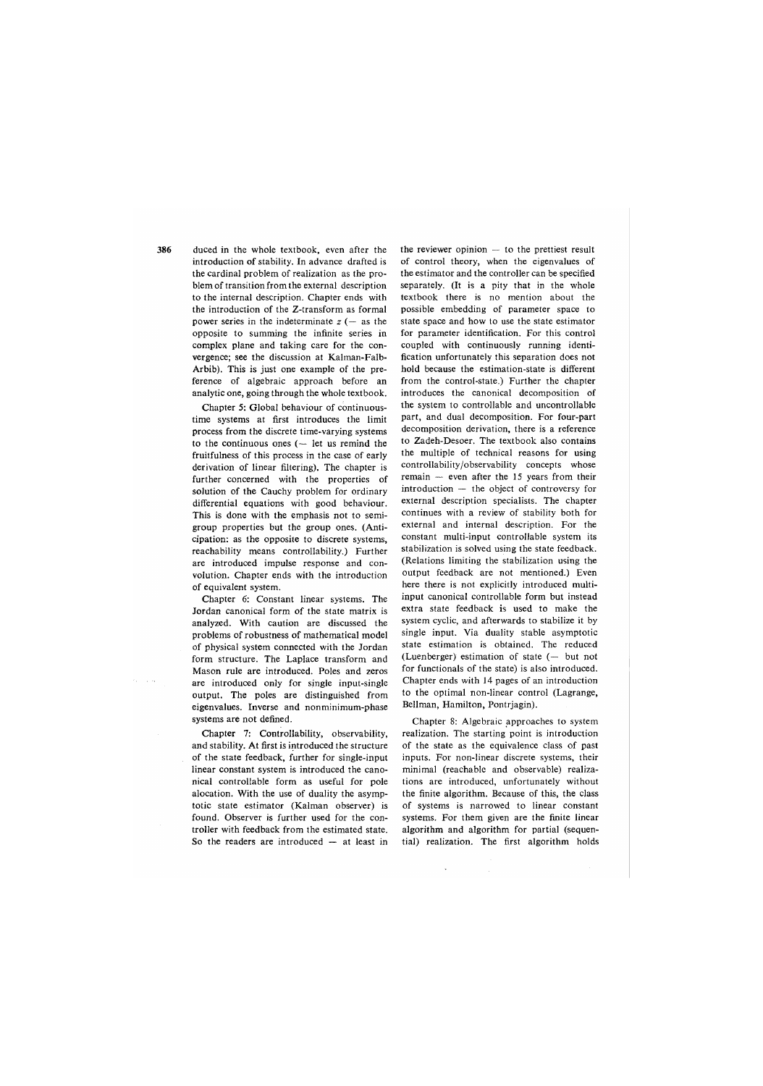386

duced in the whole textbook, even after the introduction of stability. In advance drafted is the cardinal problem of realization as the problem of transition from the external description to the internal description. Chapter ends with the introduction of the Z-transform as formal power series in the indeterminate  $z$  ( $-$  as the opposite to summing the infinite series in complex plane and taking care for the convergence; see the discussion at Kalman-Falb-Arbib). This is just one example of the preference of algebraic approach before an analytic one, going through the whole textbook.

Chapter 5: Global behaviour of continuoustime systems at first introduces the limit process from the discrete time-varying systems to the continuous ones (— let us remind the fruitfulness of this process in the case of early derivation of linear filtering). The chapter is further concerned with the properties of solution of the Cauchy problem for ordinary differential equations with good behaviour. This is done with the emphasis not to semigroup properties but the group ones. (Anticipation: as the opposite to discrete systems, reachability means controllability.) Further are introduced impulse response and convolution. Chapter ends with the introduction of equivalent system.

Chapter 6: Constant linear systems. The Jordan canonical form of the state matrix is analyzed. With caution are discussed the problems of robustness of mathematical model of physical system connected with the Jordan form structure. The Laplace transform and Mason rule are introduced. Poles and zeros are introduced only for single input-single output. The poles are distinguished from eigenvalues. Inverse and nonminimum-phase systems are not defined.

Chapter 7: Controllability, observability, and stability. At first is introduced the structure of the state feedback, further for single-input linear constant system is introduced the canonical controllable form as useful for pole alocation. With the use of duality the asymptotic state estimator (Kalman observer) is found. Observer is further used for the controller with feedback from the estimated state. So the readers are introduced — at least in

the reviewer opinion — to the prettiest result of control theory, when the eigenvalues of the estimator and the controller can be specified separately. (It is a pity that in the whole textbook there is no mention about the possible embedding of parameter space to state space and how to use the state estimator for parameter identification. For this control coupled with continuously running identification unfortunately this separation does not hold because the estimation-state is different from the control-state.) Further the chapter introduces the canonical decomposition of the system to controllable and uncontrollable part, and dual decomposition. For four-part decomposition derivation, there is a reference to Zadeh-Desoer. The textbook also contains the multiple of technical reasons for using controllability/observability concepts whose remain — even after the 15 years from their introduction — the object of controversy for external description specialists. The chapter continues with a review of stability both for external and internal description. For the constant multi-input controllable system its stabilization is solved using the state feedback. (Relations limiting the stabilization using the output feedback are not mentioned.) Even here there is not explicitly introduced multiinput canonical controllable form but instead extra state feedback is used to make the system cyclic, and afterwards to stabilize it by single input. Via duality stable asymptotic state estimation is obtained. The reduced (Luenberger) estimation of state (— but not for functionals of the state) is also introduced. Chapter ends with 14 pages of an introduction to the optimal non-linear control (Lagrange, Bellman, Hamilton, Pontrjagin).

Chapter 8: Algebraic approaches to system realization. The starting point is introduction of the state as the equivalence class of past inputs. For non-linear discrete systems, their minimal (reachable and observable) realizations are introduced, unfortunately without the finite algorithm. Because of this, the class of systems is narrowed to linear constant systems. For them given are the finite linear algorithm and algorithm for partial (sequential) realization. The first algorithm holds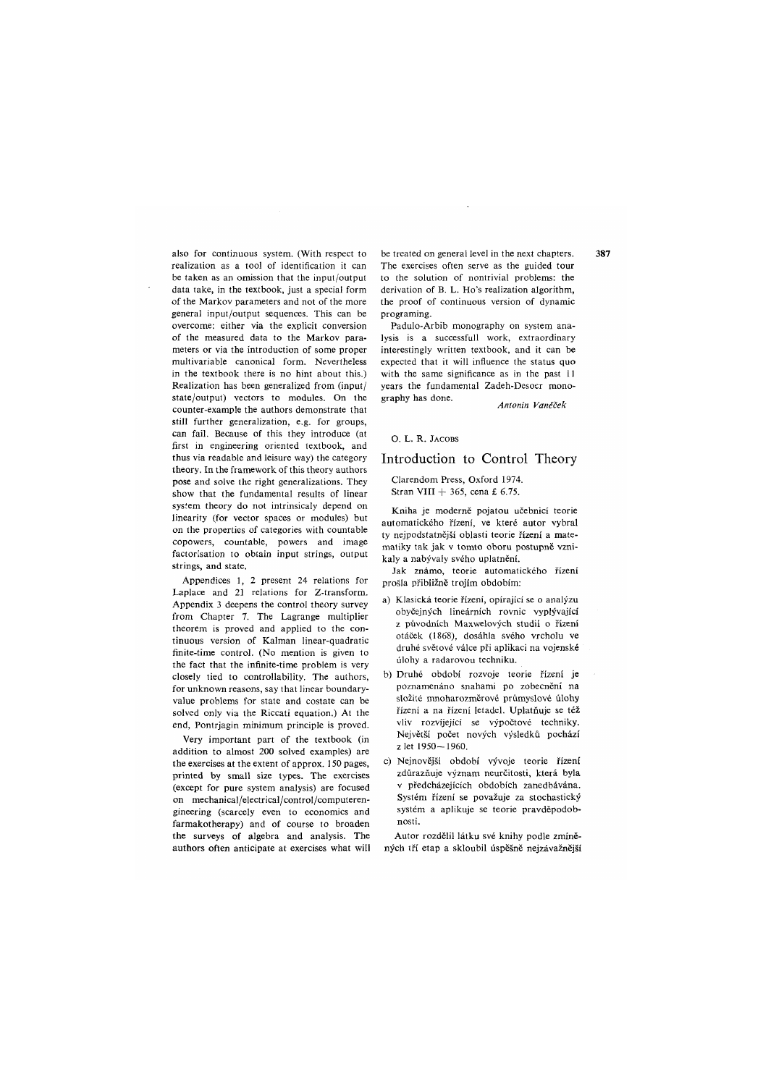also for continuous system. (With respect to realization as a tool of identification it can be taken as an omission that the input/output data take, in the textbook, just a special form of the Markov parameters and not of the more general input/output sequences. This can be overcome: either via the explicit conversion of the measured data to the Markov parameters or via the introduction of some proper multivariable canonical form. Nevertheless in the textbook there is no hint about this.) Realization has been generalized from (input/ state/output) vectors to modules. On the counter-example the authors demonstrate that still further generalization, e.g. for groups, can fail. Because of this they introduce (at first in engineering oriented textbook, and thus via readable and leisure way) the category theory. In the framework of this theory authors pose and solve the right generalizations. They show that the fundamental results of linear system theory do not intrinsicaly depend on linearity (for vector spaces or modules) but on the properties of categories with countable copowers, countable, powers and image factorisation to obtain input strings, output strings, and state.

Appendices 1, 2 present 24 relations for Laplace and 21 relations for Z-transform. Appendix 3 deepens the control theory survey from Chapter 7. The Lagrange multiplier theorem is proved and applied to the continuous version of Kalman linear-quadratic finite-time control. (No mention is given to the fact that the infinite-time problem is very closely tied to controllability. The authors, for unknown reasons, say that linear boundaryvalue problems for state and costate can be solved only via the Riccati equation.) At the end, Pontrjagin minimum principle is proved.

Very important part of the textbook (in addition to almost 200 solved examples) are the exercises at the extent of approx. 150 pages, printed by small size types. The exercises (except for pure system analysis) are focused on mechanical/electrical/control/computerengineering (scarcely even to economics and farmakotherapy) and of course to broaden the surveys of algebra and analysis. The authors often anticipate at exercises what will be treated on general level in the next chapters. The exercises often serve as the guided tour to the solution of nontrivial problems: the derivation of B. L. Ho's realization algorithm, the proof of continuous version of dynamic programing.

Padulo-Arbib monography on system analysis is a successfull work, extraordinary interestingly written textbook, and it can be expected that it will influence the status quo with the same significance as in the past II years the fundamental Zadeh-Desoer monography has done.

*Antonín Vaněček* 

### O. L. R. JACOBS

## Introduction to Control Theory

#### Clarendom Press, Oxford 1974. Stran VIII + 365, cena £ 6.75.

Kniha je moderně pojatou učebnicí teorie automatického řízení, ve které autor vybral ty nejpodstatnější oblasti teorie řízení a matematiky tak jak v tomto oboru postupně vznikaly a nabývaly svého uplatnění.

Jak známo, teorie automatického řízení prošla přibližně trojím obdobím:

- a) Klasická teorie řízení, opírající se o analýzu obyčejných lineárních rovnic vyplývající z původních Maxwelových studií o řízení otáček (1868), dosáhla svého vrcholu ve druhé světové válce při aplikaci na vojenské úlohy a radarovou techniku.
- b) Druhé období rozvoje teorie řízení je poznamenáno snahami po zobecnění na složité mnoharozměrové průmyslové úlohy řízení a na řízení letadel. Uplatňuje se též vliv rozvíjející se výpočtové techniky. Největší počet nových výsledků pochází z let 1950-1960.
- c) Nejnovější období vývoje teorie řízení zdůrazňuje význam neurčitosti, která byla v předcházejících obdobích zanedbávána. Systém řízení se považuje za stochastický systém a aplikuje se teorie pravděpodobnosti.

Autor rozdělil látku své knihy podle zmíněných tří etap a skloubil úspěšně nejzávažnější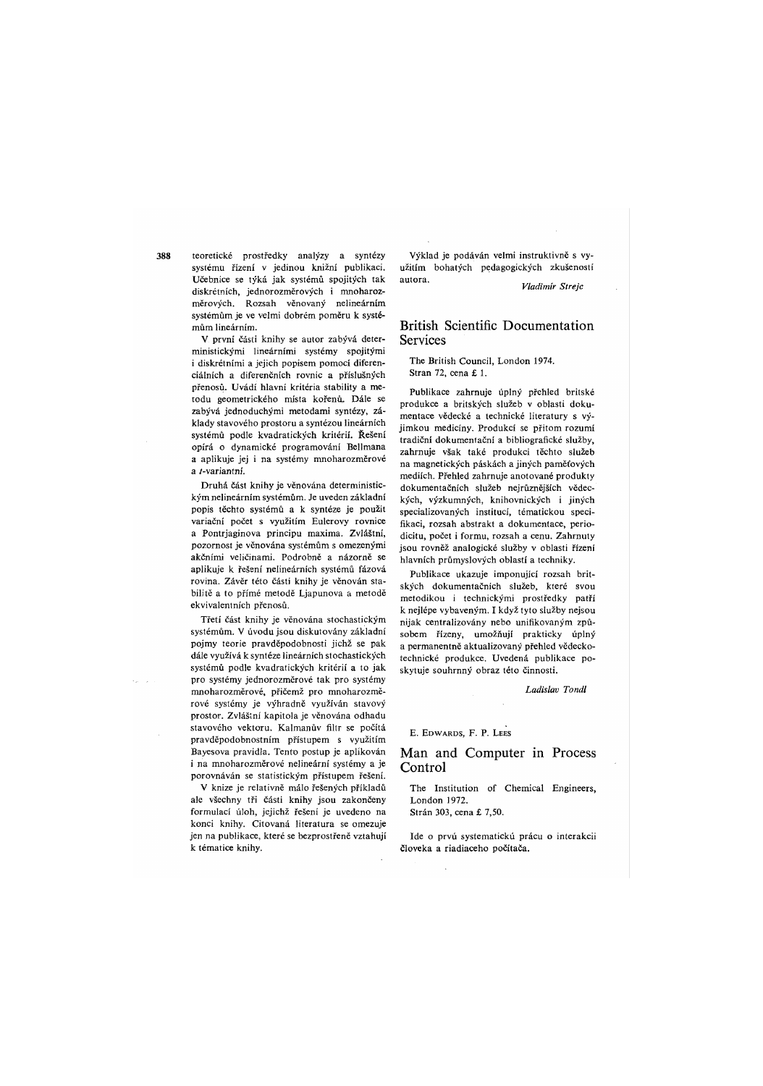teoretické prostředky analýzy a syntézy systému řízení v jedinou knižní publikaci. Učebnice se týká jak systémů spojitých tak diskrétních, jednorozměrových i mnoharozměrových. Rozsah věnovaný nelineárním systémům je ve velmi dobrém poměru k systémům lineárním.

V první části knihy se autor zabývá deterministickými lineárními systémy spojitými i diskrétními a jejich popisem pomocí diferenciálních a diferenčních rovnic a příslušných přenosů. Uvádí hlavní kritéria stability a metodu geometrického místa kořenů. Dále se zabývá jednoduchými metodami syntézy, základy stavového prostoru a syntézou lineárních systémů podle kvadratických kritérií. Řešení opírá o dynamické programování Bellmana a aplikuje jej i na systémy mnoharozměrové a /-variantní.

Druhá část knihy je věnována deterministickým nelineárním systémům. Je uveden základní popis těchto systémů a k syntéze je použit variační počet s využitím Eulerovy rovnice a Pontrjaginova principu maxima. Zvláštní, pozornost je věnována systémům s omezenými akčními veličinami. Podrobně a názorně se aplikuje k řešení nelineárních systémů fázová rovina. Závěr této části knihy je věnován stabilitě a to přímé metodě Ljapunova a metodě ekvivalentních přenosů.

Třetí část knihy je věnována stochastickým systémům. V úvodu jsou diskutovány základní pojmy teorie pravděpodobnosti jichž se pak dále využívá k syntéze lineárních stochastických systémů podle kvadratických kritérií a to jak pro systémy jednorozměrové tak pro systémy mnoharozměrové, přičemž pro mnoharozměrové systémy je výhradně využíván stavový prostor. Zvláštní kapitola je věnována odhadu stavového vektoru. Kalmanův filtr se počítá pravděpodobnostním přístupem s využitím Bayesova pravidla. Tento postup je aplikován i na mnoharozměrové nelineární systémy a je porovnáván se statistickým přístupem řešení.

V knize je relativně málo řešených příkladů ale všechny tři části knihy jsou zakončeny formulací úloh, jejichž řešení je uvedeno na konci knihy. Citovaná literatura se omezuje jen na publikace, které se bezprostřeně vztahují k tématice knihy.

Výklad je podáván velmi instruktivně s využitím bohatých pedagogických zkušeností autora.

*Vladimír Strejc* 

## British Scientific Documentation Services

The British Council, London 1974. Stran 72, cena £ 1.

Publikace zahrnuje úplný přehled britské produkce a britských služeb v oblasti dokumentace vědecké a technické literatury s výjimkou medicíny. Produkcí se přitom rozumí tradiční dokumentační a bibliografické služby, zahrnuje však také produkci těchto služeb na magnetických páskách a jiných paměťových mediích. Přehled zahrnuje anotované produkty dokumentačních služeb nejrůznějších vědeckých, výzkumných, knihovnických i jiných specializovaných institucí, tématickou specifikaci, rozsah abstrakt a dokumentace, periodicitu, počet i formu, rozsah a cenu. Zahrnuty jsou rovněž analogické služby v oblasti řízení hlavních průmyslových oblastí a techniky.

Publikace ukazuje imponující rozsah britských dokumentačních služeb, které svou metodikou i technickými prostředky patří k nejlépe vybaveným. I když tyto služby nejsou nijak centralizovány nebo unifikovaným způsobem řízeny, umožňují prakticky úplný a permanentně aktualizovaný přehled vědeckotechnické produkce. Uvedená publikace poskytuje souhrnný obraz této činnosti.

*Ladislav Tondl* 

E. EDWARDS, F. P. LEES

### Man and Computer in Process Control

The Institution of Chemical Engineers, London 1972.

Stráň 303, cena £ 7,50.

Ide o prvú systematickú prácu o interakcii člověka a riadiaceho počítača.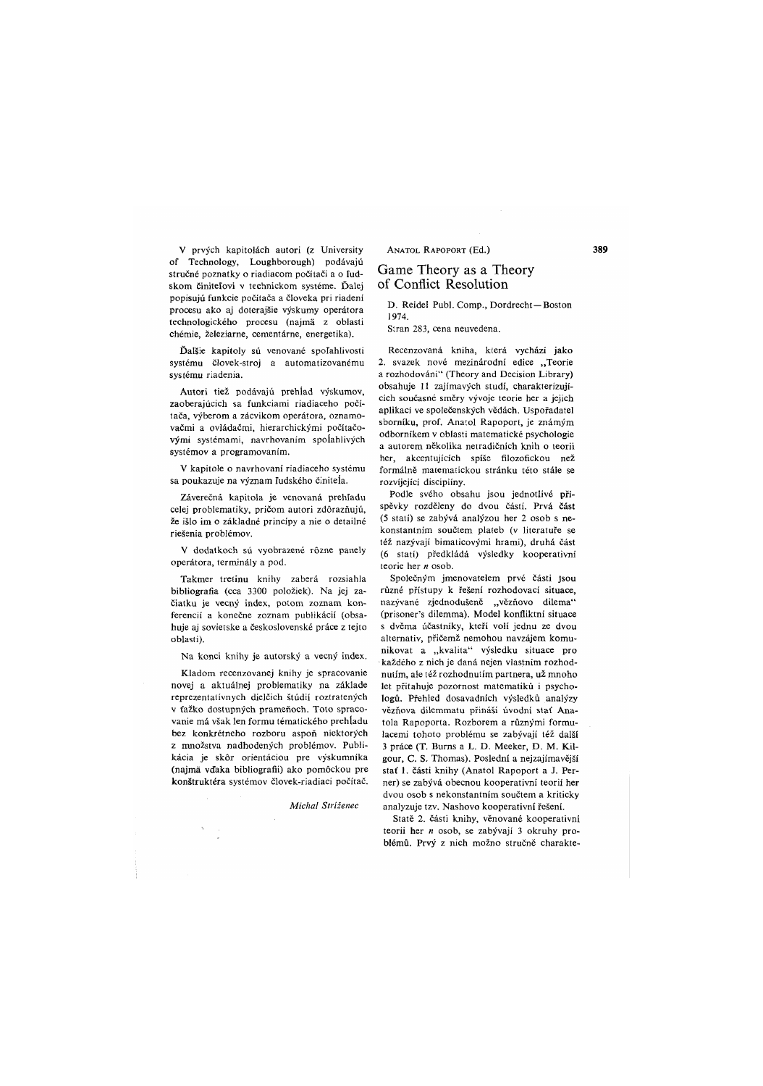V prvých kapitolách autori (z University of Technology, Loughborough) podávajú stručné poznatky o riadiacom počítači a o fudskom činitelovi v technickom systéme. Ďalej popisujú funkcie počítača a človeka pri riadení procesu ako aj doterajšie výskumy operátora technologického procesu (najma z oblasti chémie, železiarne, cementárne, energetika).

Ďalšie kapitoly sú věnované spofahlivosti systému človek-stroj a automatizovanému systému riadenia.

Autori tiež podávajú prehĺad výskumov, zaoberajúcich sa funkciami riadiaceho počítača, výberom a zácvikom operátora, oznamovačmi a ovládačmi, hierarchickými počítačovými systémami, navrhovaním spolahlivých systémov a programováním.

V kapitole o navrhovaní riadiaceho systému sa poukazuje na význam ludského činiteía.

Záverečná kapitola je venovaná prehľadu celej problematiky, pričom autori zdôrazňujú, že išlo im o základné principy a nie o detailně riešenia problémov.

V dodatkoch sú vyobrazené rózne panely operátora, terminály a pod.

Takmer tretinu knihy zaberá rozsiahla bibliografia (cca 3300 položiek). Na jej začiatku je věcný index, potom zoznam konferencií a konečne zoznam publikácií (obsahuje aj sovietske a československé práce z tejto oblasti).

Na konci knihy je autorský a vecný index.

Kladom recenzovanej knihy je spracovanie novej a aktuálnej problematiky na základe reprezentatívnych dielčich štúdií roztratených v ťažko dostupných prameňoch. Toto spracovanie má však len formu tématického prehladu bez konkrétného rozboru aspoň niektorých z množstva nadhodených problémov. Publikácia je skór orientáciou pre výskumníka (najma vďaka bibliografii) ako pomóckou pre konstruktéra systémov človek-riadiaci počítač.

*Michal Stríženec* 

ANATOL RAPOPORT (Ed.)

## Game Theory as a Theory of Conflict Resolution

D. Reidel Publ. Comp., Dordrecht—Boston 1974.

Stran 283, cena neuvedena.

Recenzovaná kniha, která vychází jako 2. svazek nové mezinárodní edice "Teorie a rozhodování" (Theory and Decision Library) obsahuje 11 zajímavých studí, charakterizujících současné směry vývoje teorie her a jejich aplikací ve společenských vědách. Uspořadatel sborníku, prof. Anatol Rapoport, je známým odborníkem v oblasti matematické psychologie a autorem několika netradičních knih o teorii her, akcentujících spíše filozofickou než formálně matematickou stránku této stále se rozvíjející disciplíny.

Podle svého obsahu jsou jednotlivé příspěvky rozděleny do dvou částí. Prvá část (5 statí) se zabývá analýzou her 2 osob s nekonstantním součtem plateb (v literatuře se též nazývají bimaticovými hrami), druhá část (6 statí) předkládá výsledky kooperativní teorie her *n* osob.

Společným jmenovatelem prvé části Jsou různé přístupy k řešení rozhodovací situace, nazývané zjednodušeně "vězňovo dilema" (prisoner's dilemma). Model konfliktní situace s dvěma účastníky, kteří volí jednu ze dvou alternativ, přičemž nemohou navzájem komunikovat a "kvalita" výsledku situace pro každého z nich je daná nejen vlastním rozhodnutím, ale též rozhodnutím partnera, už mnoho let přitahuje pozornost matematiků i psychologů. Přehled dosavadních výsledků analýzy vězňova dílemmatu přináší úvodní stať Anatola Rapoporta. Rozborem a různými formulacemi tohoto problému se zabývají též další 3 práce (T. Burns a L. D. Meeker, D. M. Kilgour, C. S. Thomas). Poslední a nejzajímavější stať 1. části knihy (Anatol Rapoport a J. Perner) se zabývá obecnou kooperativní teorií her dvou osob s nekonstantním součtem a kriticky analyzuje tzv. Nashovo kooperativní řešení.

Statě 2. části knihy, věnované kooperativní teorii her *n* osob, se zabývají 3 okruhy problémů. Prvý z nich možno stručně charakte-